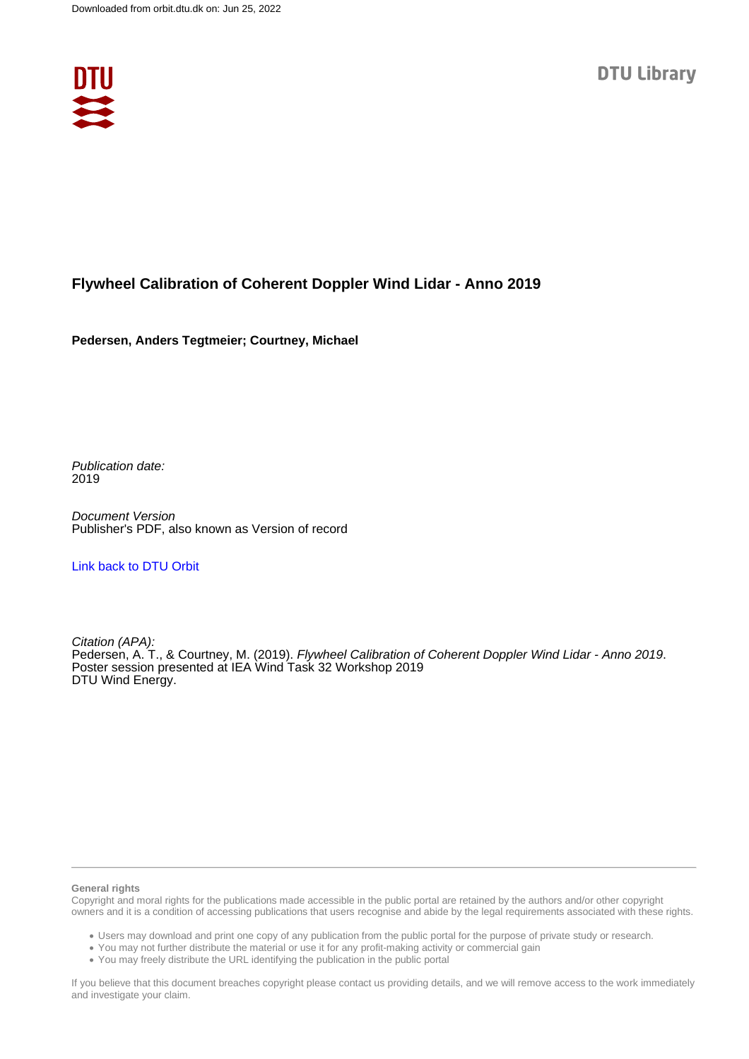

#### **Flywheel Calibration of Coherent Doppler Wind Lidar - Anno 2019**

**Pedersen, Anders Tegtmeier; Courtney, Michael**

Publication date: 2019

Document Version Publisher's PDF, also known as Version of record

[Link back to DTU Orbit](https://orbit.dtu.dk/en/publications/1c5ae756-9c36-4917-b8b6-87af4adcfa04)

Citation (APA): Pedersen, A. T., & Courtney, M. (2019). Flywheel Calibration of Coherent Doppler Wind Lidar - Anno 2019. Poster session presented at IEA Wind Task 32 Workshop 2019 DTU Wind Energy.

#### **General rights**

Copyright and moral rights for the publications made accessible in the public portal are retained by the authors and/or other copyright owners and it is a condition of accessing publications that users recognise and abide by the legal requirements associated with these rights.

Users may download and print one copy of any publication from the public portal for the purpose of private study or research.

- You may not further distribute the material or use it for any profit-making activity or commercial gain
- You may freely distribute the URL identifying the publication in the public portal

If you believe that this document breaches copyright please contact us providing details, and we will remove access to the work immediately and investigate your claim.